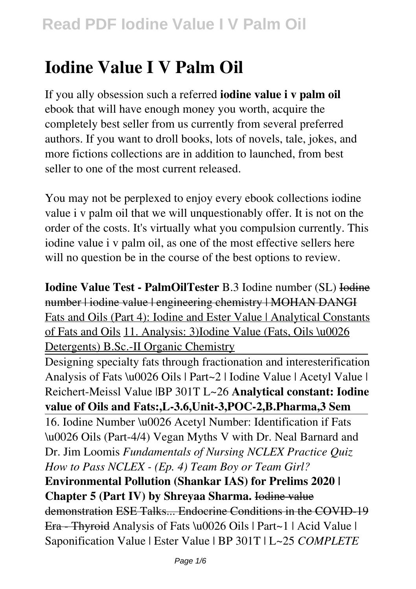# **Iodine Value I V Palm Oil**

If you ally obsession such a referred **iodine value i v palm oil** ebook that will have enough money you worth, acquire the completely best seller from us currently from several preferred authors. If you want to droll books, lots of novels, tale, jokes, and more fictions collections are in addition to launched, from best seller to one of the most current released.

You may not be perplexed to enjoy every ebook collections iodine value i v palm oil that we will unquestionably offer. It is not on the order of the costs. It's virtually what you compulsion currently. This iodine value i v palm oil, as one of the most effective sellers here will no question be in the course of the best options to review.

**Iodine Value Test - PalmOilTester** B.3 Iodine number (SL) Iodine number | iodine value | engineering chemistry | MOHAN DANGI Fats and Oils (Part 4): Iodine and Ester Value | Analytical Constants of Fats and Oils 11. Analysis: 3)Iodine Value (Fats, Oils \u0026 Detergents) B.Sc.-II Organic Chemistry

Designing specialty fats through fractionation and interesterification Analysis of Fats \u0026 Oils | Part~2 | Iodine Value | Acetyl Value | Reichert-Meissl Value |BP 301T L~26 **Analytical constant: Iodine value of Oils and Fats:,L-3.6,Unit-3,POC-2,B.Pharma,3 Sem**

16. Iodine Number \u0026 Acetyl Number: Identification if Fats \u0026 Oils (Part-4/4) Vegan Myths V with Dr. Neal Barnard and Dr. Jim Loomis *Fundamentals of Nursing NCLEX Practice Quiz How to Pass NCLEX - (Ep. 4) Team Boy or Team Girl?* **Environmental Pollution (Shankar IAS) for Prelims 2020 | Chapter 5 (Part IV) by Shreyaa Sharma.** Iodine value demonstration ESE Talks... Endocrine Conditions in the COVID-19 Era - Thyroid Analysis of Fats \u0026 Oils | Part~1 | Acid Value | Saponification Value | Ester Value | BP 301T | L~25 *COMPLETE*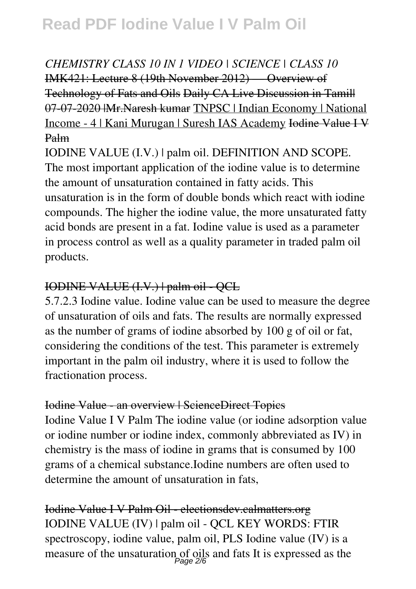### *CHEMISTRY CLASS 10 IN 1 VIDEO | SCIENCE | CLASS 10* IMK421: Lecture 8 (19th November 2012) — Overview of Technology of Fats and Oils Daily CA Live Discussion in Tamil| 07-07-2020 |Mr.Naresh kumar TNPSC | Indian Economy | National Income - 4 | Kani Murugan | Suresh IAS Academy Iodine Value I V Palm

IODINE VALUE (I.V.) | palm oil. DEFINITION AND SCOPE. The most important application of the iodine value is to determine the amount of unsaturation contained in fatty acids. This unsaturation is in the form of double bonds which react with iodine compounds. The higher the iodine value, the more unsaturated fatty acid bonds are present in a fat. Iodine value is used as a parameter in process control as well as a quality parameter in traded palm oil products.

### IODINE VALUE (I.V.) | palm oil - QCL

5.7.2.3 Iodine value. Iodine value can be used to measure the degree of unsaturation of oils and fats. The results are normally expressed as the number of grams of iodine absorbed by 100 g of oil or fat, considering the conditions of the test. This parameter is extremely important in the palm oil industry, where it is used to follow the fractionation process.

### Iodine Value - an overview | ScienceDirect Topics

Iodine Value I V Palm The iodine value (or iodine adsorption value or iodine number or iodine index, commonly abbreviated as IV) in chemistry is the mass of iodine in grams that is consumed by 100 grams of a chemical substance.Iodine numbers are often used to determine the amount of unsaturation in fats,

Iodine Value I V Palm Oil - electionsdev.calmatters.org IODINE VALUE (IV) | palm oil - QCL KEY WORDS: FTIR spectroscopy, iodine value, palm oil, PLS Iodine value (IV) is a measure of the unsaturation of oils and fats It is expressed as the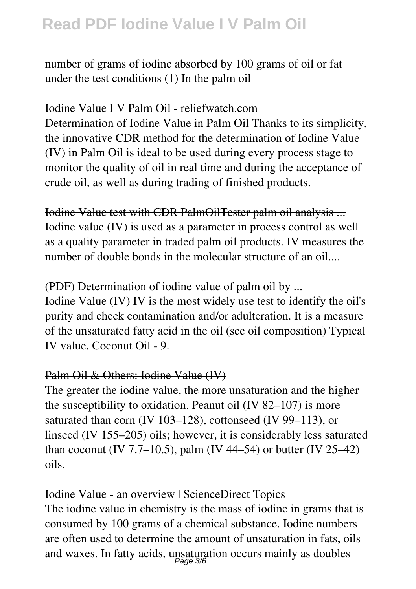number of grams of iodine absorbed by 100 grams of oil or fat under the test conditions (1) In the palm oil

#### Iodine Value I V Palm Oil - reliefwatch.com

Determination of Iodine Value in Palm Oil Thanks to its simplicity, the innovative CDR method for the determination of Iodine Value (IV) in Palm Oil is ideal to be used during every process stage to monitor the quality of oil in real time and during the acceptance of crude oil, as well as during trading of finished products.

Iodine Value test with CDR PalmOilTester palm oil analysis ... Iodine value (IV) is used as a parameter in process control as well as a quality parameter in traded palm oil products. IV measures the number of double bonds in the molecular structure of an oil...

### (PDF) Determination of iodine value of palm oil by ...

Iodine Value (IV) IV is the most widely use test to identify the oil's purity and check contamination and/or adulteration. It is a measure of the unsaturated fatty acid in the oil (see oil composition) Typical IV value. Coconut Oil - 9.

### Palm Oil & Others: Iodine Value (IV)

The greater the iodine value, the more unsaturation and the higher the susceptibility to oxidation. Peanut oil (IV 82–107) is more saturated than corn (IV 103–128), cottonseed (IV 99–113), or linseed (IV 155–205) oils; however, it is considerably less saturated than coconut (IV 7.7–10.5), palm (IV 44–54) or butter (IV 25–42) oils.

#### Iodine Value - an overview | ScienceDirect Topics

The iodine value in chemistry is the mass of iodine in grams that is consumed by 100 grams of a chemical substance. Iodine numbers are often used to determine the amount of unsaturation in fats, oils and waxes. In fatty acids, unsaturation occurs mainly as doubles Page 3/6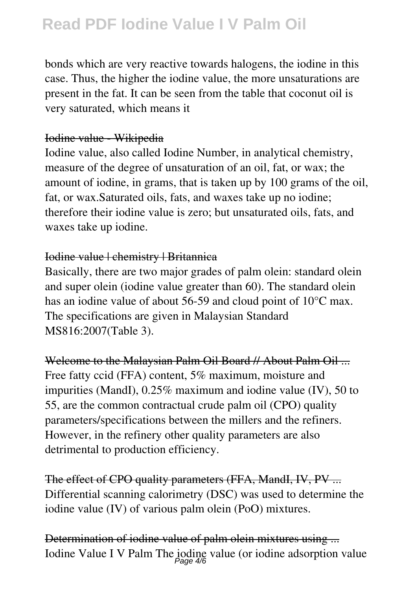bonds which are very reactive towards halogens, the iodine in this case. Thus, the higher the iodine value, the more unsaturations are present in the fat. It can be seen from the table that coconut oil is very saturated, which means it

### Iodine value - Wikipedia

Iodine value, also called Iodine Number, in analytical chemistry, measure of the degree of unsaturation of an oil, fat, or wax; the amount of iodine, in grams, that is taken up by 100 grams of the oil, fat, or wax.Saturated oils, fats, and waxes take up no iodine; therefore their iodine value is zero; but unsaturated oils, fats, and waxes take up iodine.

### Iodine value | chemistry | Britannica

Basically, there are two major grades of palm olein: standard olein and super olein (iodine value greater than 60). The standard olein has an iodine value of about 56-59 and cloud point of 10<sup>o</sup>C max. The specifications are given in Malaysian Standard MS816:2007(Table 3).

Welcome to the Malaysian Palm Oil Board // About Palm Oil ... Free fatty ccid (FFA) content, 5% maximum, moisture and impurities (MandI), 0.25% maximum and iodine value (IV), 50 to 55, are the common contractual crude palm oil (CPO) quality parameters/specifications between the millers and the refiners. However, in the refinery other quality parameters are also detrimental to production efficiency.

The effect of CPO quality parameters (FFA, MandI, IV, PV ... Differential scanning calorimetry (DSC) was used to determine the iodine value (IV) of various palm olein (PoO) mixtures.

Determination of iodine value of palm olein mixtures using ... Iodine Value I V Palm The jodine value (or iodine adsorption value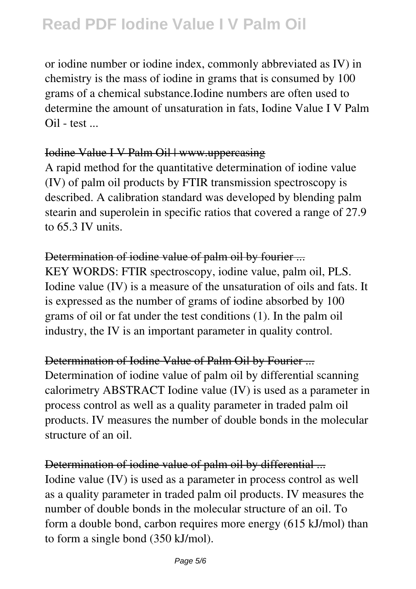or iodine number or iodine index, commonly abbreviated as IV) in chemistry is the mass of iodine in grams that is consumed by 100 grams of a chemical substance.Iodine numbers are often used to determine the amount of unsaturation in fats, Iodine Value I V Palm  $Oil - test$ ...

### Iodine Value I V Palm Oil | www.uppercasing

A rapid method for the quantitative determination of iodine value (IV) of palm oil products by FTIR transmission spectroscopy is described. A calibration standard was developed by blending palm stearin and superolein in specific ratios that covered a range of 27.9 to 65.3 IV units.

#### Determination of iodine value of palm oil by fourier ...

KEY WORDS: FTIR spectroscopy, iodine value, palm oil, PLS. Iodine value (IV) is a measure of the unsaturation of oils and fats. It is expressed as the number of grams of iodine absorbed by 100 grams of oil or fat under the test conditions (1). In the palm oil industry, the IV is an important parameter in quality control.

### Determination of Iodine Value of Palm Oil by Fourier ...

Determination of iodine value of palm oil by differential scanning calorimetry ABSTRACT Iodine value (IV) is used as a parameter in process control as well as a quality parameter in traded palm oil products. IV measures the number of double bonds in the molecular structure of an oil.

### Determination of iodine value of palm oil by differential ... Iodine value (IV) is used as a parameter in process control as well as a quality parameter in traded palm oil products. IV measures the number of double bonds in the molecular structure of an oil. To form a double bond, carbon requires more energy (615 kJ/mol) than to form a single bond (350 kJ/mol).